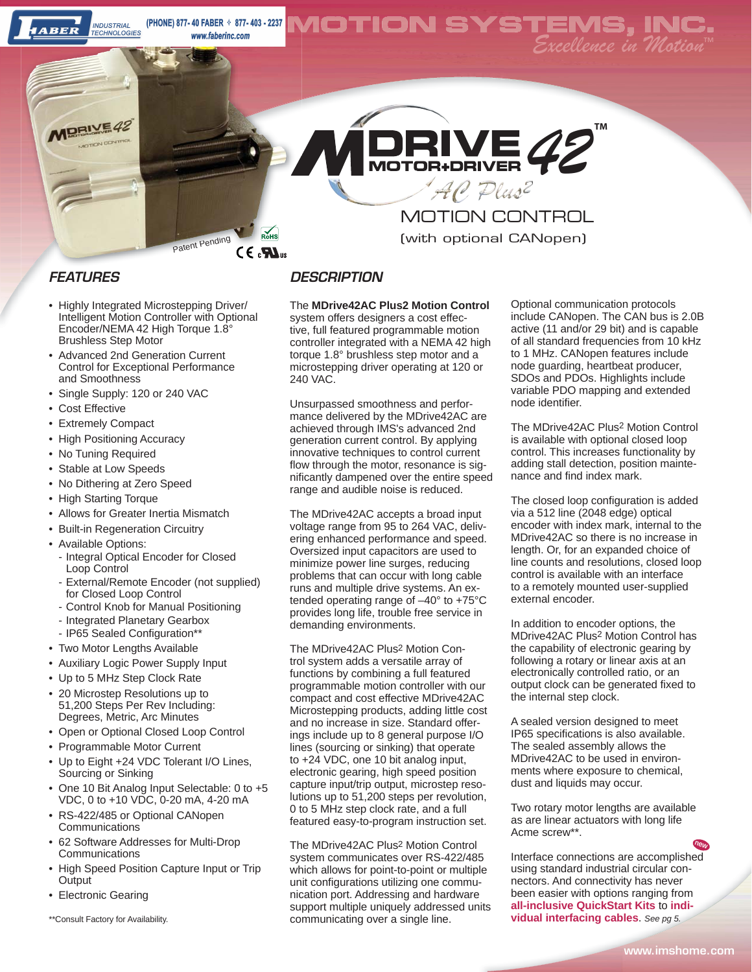(PHONE) 877-40 FABER  $\div$  877-403-2237 www.faberinc.com

**MOTION SYSTEMS, INC.**<br>Excellence in Motion™



MOTION CONTROL (with optional CANopen)

• Highly Integrated Microstepping Driver/ Intelligent Motion Controller with Optional Encoder/NEMA 42 High Torque 1.8° Brushless Step Motor

Patent Pending

 $x<sub>o</sub>$ HS  $CE_{\alpha}$   $\mathbf{M}_{\text{us}}$ 

- Advanced 2nd Generation Current Control for Exceptional Performance and Smoothness
- Single Supply: 120 or 240 VAC
- Cost Effective
- Extremely Compact
- High Positioning Accuracy

**INDUSTRIAL**<br>TECHNOLOGIES

DRIVE 42

ABER

- No Tuning Required
- Stable at Low Speeds
- No Dithering at Zero Speed
- High Starting Torque
- Allows for Greater Inertia Mismatch
- Built-in Regeneration Circuitry
- Available Options:
	- Integral Optical Encoder for Closed Loop Control
	- External/Remote Encoder (not supplied) for Closed Loop Control
	- Control Knob for Manual Positioning
	- Integrated Planetary Gearbox
	- IP65 Sealed Configuration\*\*
- Two Motor Lengths Available
- Auxiliary Logic Power Supply Input
- Up to 5 MHz Step Clock Rate
- 20 Microstep Resolutions up to 51,200 Steps Per Rev Including: Degrees, Metric, Arc Minutes
- Open or Optional Closed Loop Control
- Programmable Motor Current
- Up to Eight +24 VDC Tolerant I/O Lines, Sourcing or Sinking
- One 10 Bit Analog Input Selectable: 0 to +5 VDC, 0 to +10 VDC, 0-20 mA, 4-20 mA
- RS-422/485 or Optional CANopen Communications
- 62 Software Addresses for Multi-Drop Communications
- High Speed Position Capture Input or Trip **Output**
- Electronic Gearing

\*\*Consult Factory for Availability.

# *FEATURES DESCRIPTION*

The **MDrive42AC Plus2 Motion Control** 

system offers designers a cost effective, full featured programmable motion controller integrated with a NEMA 42 high torque 1.8° brushless step motor and a microstepping driver operating at 120 or 240 VAC.

Unsurpassed smoothness and performance delivered by the MDrive42AC are achieved through IMS's advanced 2nd generation current control. By applying innovative techniques to control current flow through the motor, resonance is significantly dampened over the entire speed range and audible noise is reduced.

The MDrive42AC accepts a broad input voltage range from 95 to 264 VAC, delivering enhanced performance and speed. Oversized input capacitors are used to minimize power line surges, reducing problems that can occur with long cable runs and multiple drive systems. An extended operating range of –40° to +75°C provides long life, trouble free service in demanding environments.

The MDrive42AC Plus2 Motion Control system adds a versatile array of functions by combining a full featured programmable motion controller with our compact and cost effective MDrive42AC Microstepping products, adding little cost and no increase in size. Standard offerings include up to 8 general purpose I/O lines (sourcing or sinking) that operate to  $+24$  VDC, one 10 bit analog input, electronic gearing, high speed position capture input/trip output, microstep resolutions up to 51,200 steps per revolution, 0 to 5 MHz step clock rate, and a full featured easy-to-program instruction set.

The MDrive42AC Plus2 Motion Control system communicates over RS-422/485 which allows for point-to-point or multiple unit configurations utilizing one communication port. Addressing and hardware support multiple uniquely addressed units communicating over a single line.

Optional communication protocols include CANopen. The CAN bus is 2.0B active (11 and/or 29 bit) and is capable of all standard frequencies from 10 kHz to 1 MHz. CANopen features include node guarding, heartbeat producer, SDOs and PDOs. Highlights include variable PDO mapping and extended node identifier.

The MDrive42AC Plus2 Motion Control is available with optional closed loop control. This increases functionality by adding stall detection, position maintenance and find index mark.

The closed loop configuration is added via a 512 line (2048 edge) optical encoder with index mark, internal to the MDrive42AC so there is no increase in length. Or, for an expanded choice of line counts and resolutions, closed loop control is available with an interface to a remotely mounted user-supplied external encoder.

In addition to encoder options, the MDrive42AC Plus2 Motion Control has the capability of electronic gearing by following a rotary or linear axis at an electronically controlled ratio, or an output clock can be generated fixed to the internal step clock.

A sealed version designed to meet IP65 specifications is also available. The sealed assembly allows the MDrive42AC to be used in environments where exposure to chemical, dust and liquids may occur.

Two rotary motor lengths are available as are linear actuators with long life Acme screw\*\*.

Interface connections are accomplished using standard industrial circular connectors. And connectivity has never been easier with options ranging from **all-inclusive QuickStart Kits** to **individual interfacing cables**. *See pg 5.*  **new**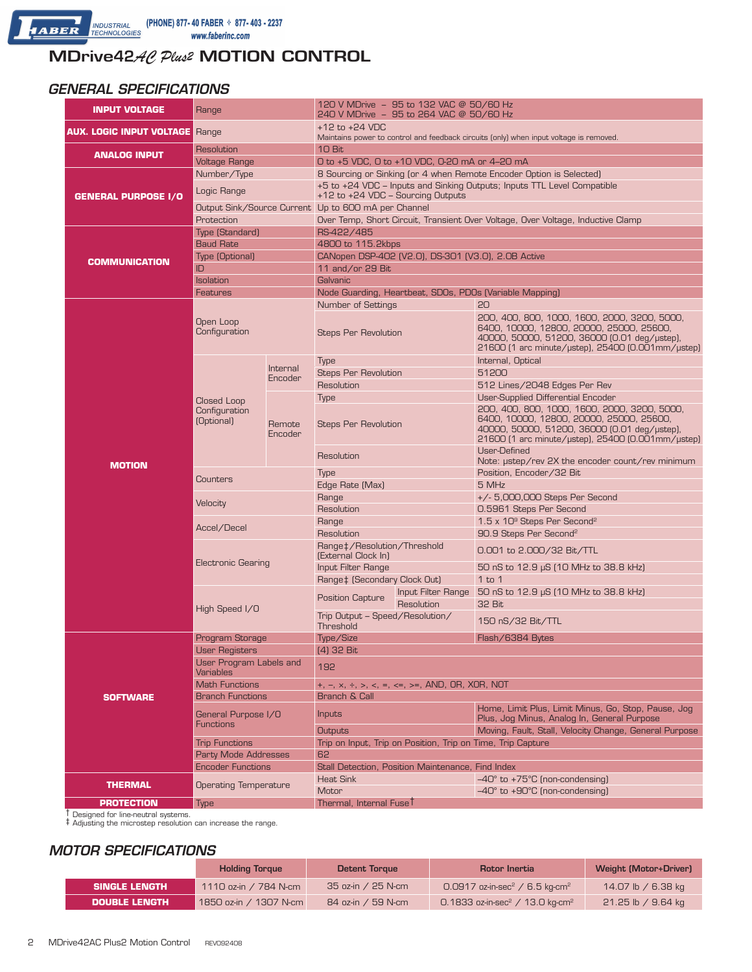# **MDrive42***AC Plus2* **MOTION CONTROL**

# **GENERAL SPECIFICATIONS**

| <b>INPUT VOLTAGE</b>                           | Range                                                 |                   | 120 V MDrive - 95 to 132 VAC @ 50/60 Hz<br>240 V MDrive - 95 to 264 VAC @ 50/60 Hz                           |                                                    |                                                                                                                                                                                               |  |
|------------------------------------------------|-------------------------------------------------------|-------------------|--------------------------------------------------------------------------------------------------------------|----------------------------------------------------|-----------------------------------------------------------------------------------------------------------------------------------------------------------------------------------------------|--|
| <b>AUX. LOGIC INPUT VOLTAGE Range</b>          |                                                       |                   | $+12$ to $+24$ VDC<br>Maintains power to control and feedback circuits (only) when input voltage is removed. |                                                    |                                                                                                                                                                                               |  |
| Resolution                                     |                                                       | 10 Bit            |                                                                                                              |                                                    |                                                                                                                                                                                               |  |
| <b>ANALOG INPUT</b>                            | <b>Voltage Range</b>                                  |                   |                                                                                                              | 0 to +5 VDC, 0 to +10 VDC, 0-20 mA or 4-20 mA      |                                                                                                                                                                                               |  |
|                                                | Number/Type                                           |                   |                                                                                                              |                                                    | 8 Sourcing or Sinking (or 4 when Remote Encoder Option is Selected)                                                                                                                           |  |
| <b>GENERAL PURPOSE I/O</b>                     | Logic Range                                           |                   | +5 to +24 VDC - Inputs and Sinking Outputs; Inputs TTL Level Compatible<br>+12 to +24 VDC - Sourcing Outputs |                                                    |                                                                                                                                                                                               |  |
|                                                | Output Sink/Source Current   Up to 600 mA per Channel |                   |                                                                                                              |                                                    |                                                                                                                                                                                               |  |
|                                                | Protection                                            |                   |                                                                                                              |                                                    | Over Temp, Short Circuit, Transient Over Voltage, Over Voltage, Inductive Clamp                                                                                                               |  |
|                                                | Type (Standard)                                       |                   | RS-422/485                                                                                                   |                                                    |                                                                                                                                                                                               |  |
|                                                | <b>Baud Rate</b>                                      |                   | 4800 to 115.2kbps                                                                                            |                                                    |                                                                                                                                                                                               |  |
| <b>COMMUNICATION</b>                           | <b>Type (Optional)</b>                                |                   |                                                                                                              | CANopen DSP-402 (V2.0), DS-301 (V3.0), 2.0B Active |                                                                                                                                                                                               |  |
|                                                | ID                                                    |                   | 11 and/or 29 Bit                                                                                             |                                                    |                                                                                                                                                                                               |  |
|                                                | <b>Isolation</b>                                      |                   | Galvanic                                                                                                     |                                                    |                                                                                                                                                                                               |  |
|                                                | <b>Features</b>                                       |                   |                                                                                                              |                                                    | Node Guarding, Heartbeat, SDOs, PDOs (Variable Mapping)                                                                                                                                       |  |
|                                                |                                                       |                   | Number of Settings                                                                                           |                                                    | 20                                                                                                                                                                                            |  |
|                                                | Open Loop<br>Configuration                            |                   | Steps Per Revolution                                                                                         |                                                    | 200, 400, 800, 1000, 1600, 2000, 3200, 5000,<br>6400, 10000, 12800, 20000, 25000, 25600,<br>40000, 50000, 51200, 36000 (0.01 deg/ustep),<br>21600 [1 arc minute/ustep], 25400 [0.001mm/ustep] |  |
|                                                |                                                       | Internal          | <b>Type</b>                                                                                                  |                                                    | Internal, Optical                                                                                                                                                                             |  |
|                                                |                                                       | Encoder           | <b>Steps Per Revolution</b>                                                                                  |                                                    | 51200                                                                                                                                                                                         |  |
|                                                |                                                       |                   | Resolution                                                                                                   |                                                    | 512 Lines/2048 Edges Per Rev                                                                                                                                                                  |  |
|                                                | Closed Loop                                           |                   | <b>Type</b>                                                                                                  |                                                    | <b>User-Supplied Differential Encoder</b>                                                                                                                                                     |  |
|                                                | Configuration<br>(Optional)                           | Remote<br>Encoder | <b>Steps Per Revolution</b>                                                                                  |                                                    | 200, 400, 800, 1000, 1600, 2000, 3200, 5000,<br>6400, 10000, 12800, 20000, 25000, 25600,<br>40000, 50000, 51200, 36000 (0.01 deg/ustep),<br>21600 [1 arc minute/ustep], 25400 [0.001mm/ustep] |  |
| <b>MOTION</b>                                  |                                                       |                   | Resolution                                                                                                   |                                                    | User-Defined<br>Note: ustep/rev 2X the encoder count/rev minimum                                                                                                                              |  |
|                                                | Counters                                              |                   | <b>Type</b>                                                                                                  |                                                    | Position, Encoder/32 Bit                                                                                                                                                                      |  |
|                                                |                                                       |                   | Edge Rate (Max)                                                                                              |                                                    | 5 MHz                                                                                                                                                                                         |  |
|                                                | Velocity                                              |                   | Range                                                                                                        |                                                    | $+/-$ 5,000,000 Steps Per Second                                                                                                                                                              |  |
|                                                |                                                       |                   | Resolution                                                                                                   |                                                    | 0.5961 Steps Per Second                                                                                                                                                                       |  |
|                                                | Accel/Decel                                           |                   | Range                                                                                                        |                                                    | 1.5 x 10 <sup>9</sup> Steps Per Second <sup>2</sup>                                                                                                                                           |  |
|                                                |                                                       |                   | Resolution                                                                                                   |                                                    | 90.9 Steps Per Second <sup>2</sup>                                                                                                                                                            |  |
|                                                | <b>Electronic Gearing</b>                             |                   | Range‡/Resolution/Threshold<br>(External Clock In)                                                           |                                                    | 0.001 to 2.000/32 Bit/TTL                                                                                                                                                                     |  |
|                                                |                                                       |                   | Input Filter Range                                                                                           |                                                    | 50 nS to 12.9 µS (10 MHz to 38.8 kHz)                                                                                                                                                         |  |
|                                                |                                                       |                   | Range‡ (Secondary Clock Out)                                                                                 |                                                    | $1$ to $1$                                                                                                                                                                                    |  |
|                                                |                                                       |                   | <b>Position Capture</b>                                                                                      | Input Filter Range<br>Resolution                   | 50 nS to 12.9 µS (10 MHz to 38.8 kHz)                                                                                                                                                         |  |
|                                                | High Speed I/O                                        |                   | Trip Output - Speed/Resolution/                                                                              |                                                    | 32 Bit                                                                                                                                                                                        |  |
|                                                |                                                       |                   | Threshold                                                                                                    |                                                    | 150 nS/32 Bit/TTL                                                                                                                                                                             |  |
|                                                | Program Storage                                       |                   | Type/Size                                                                                                    |                                                    | Flash/6384 Bytes                                                                                                                                                                              |  |
|                                                | <b>User Registers</b>                                 |                   | (4) 32 Bit                                                                                                   |                                                    |                                                                                                                                                                                               |  |
|                                                | <b>User Program Labels and</b><br><b>Variables</b>    |                   | 192                                                                                                          |                                                    |                                                                                                                                                                                               |  |
| <b>SOFTWARE</b>                                | <b>Math Functions</b>                                 |                   | +, -, $\times$ , $\div$ , $>$ , $\lt$ , =, $\lt$ =, $>$ =, AND, OR, XOR, NOT                                 |                                                    |                                                                                                                                                                                               |  |
|                                                | <b>Branch Functions</b>                               |                   | <b>Branch &amp; Call</b>                                                                                     |                                                    |                                                                                                                                                                                               |  |
|                                                |                                                       |                   |                                                                                                              |                                                    | Home, Limit Plus, Limit Minus, Go, Stop, Pause, Jog                                                                                                                                           |  |
|                                                | General Purpose I/O<br><b>Functions</b>               |                   | <b>Inputs</b>                                                                                                |                                                    | Plus, Jog Minus, Analog In, General Purpose                                                                                                                                                   |  |
|                                                | <b>Trip Functions</b>                                 |                   | Moving, Fault, Stall, Velocity Change, General Purpose<br>Outputs                                            |                                                    |                                                                                                                                                                                               |  |
|                                                | <b>Party Mode Addresses</b>                           |                   | Trip on Input, Trip on Position, Trip on Time, Trip Capture<br>62                                            |                                                    |                                                                                                                                                                                               |  |
|                                                | <b>Encoder Functions</b>                              |                   | Stall Detection, Position Maintenance, Find Index                                                            |                                                    |                                                                                                                                                                                               |  |
|                                                |                                                       |                   | <b>Heat Sink</b>                                                                                             |                                                    | $-40^\circ$ to $+75^\circ$ C (non-condensing)                                                                                                                                                 |  |
| <b>THERMAL</b><br><b>Operating Temperature</b> |                                                       | Motor             |                                                                                                              | $-40^\circ$ to $+90^\circ$ C (non-condensing)      |                                                                                                                                                                                               |  |
| <b>PROTECTION</b>                              | <b>Type</b>                                           |                   | Thermal, Internal FuseT                                                                                      |                                                    |                                                                                                                                                                                               |  |
| T Designed for line-neutral systems            |                                                       |                   |                                                                                                              |                                                    |                                                                                                                                                                                               |  |

† Designed for line-neutral systems. ‡ Adjusting the microstep resolution can increase the range.

# *MOTOR SPECIFICATIONS*

|                      | <b>Holding Torgue</b>    | <b>Detent Torque</b> | Rotor Inertia                                           | Weight (Motor+Driver)                |
|----------------------|--------------------------|----------------------|---------------------------------------------------------|--------------------------------------|
| SINGLE LENGTH        | 1110 oz-in / 784 N-cm    | 35 oz-in / 25 N-cm   | 0.0917 oz-in-sec <sup>2</sup> / 6.5 kg-cm <sup>2</sup>  | 14.07 lb / 6.38 kg                   |
| <b>DOUBLE LENGTH</b> | 1850 oz-in / 1307 N-cm N | 84 oz-in / 59 N-cm   | 0.1833 oz-in-sec <sup>2</sup> / 13.0 kg-cm <sup>2</sup> | $21.25 \text{ lb} / 9.64 \text{ kg}$ |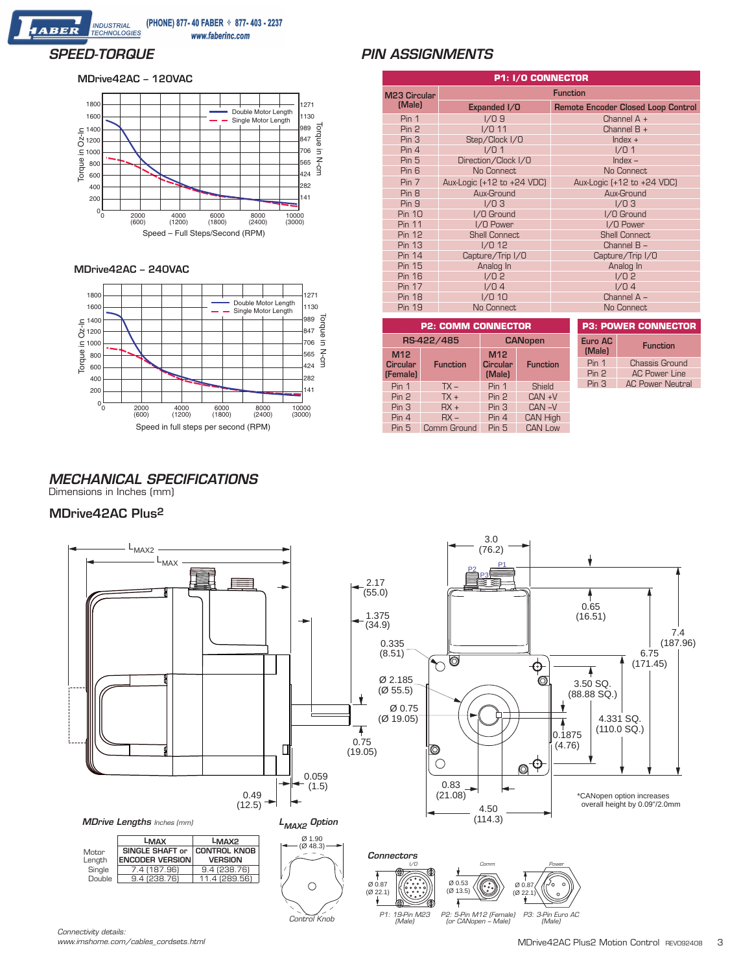# *SPEED-TORQUE*

**ABER** 

**INDUSTRIAL**<br>TECHNOLOGIES

### **MDrive42AC – 120VAC**



### **MDrive42AC – 240VAC**



# *PIN ASSIGNMENTS*

| <b>P1: I/O CONNECTOR</b> |                                |                                           |  |  |  |
|--------------------------|--------------------------------|-------------------------------------------|--|--|--|
| <b>M23 Circular</b>      |                                | <b>Function</b>                           |  |  |  |
| (Male)                   | Expanded I/O                   | <b>Remote Encoder Closed Loop Control</b> |  |  |  |
| Pin 1                    | 1/09                           | Channel $A +$                             |  |  |  |
| Pin 2                    | $1/0$ 11                       | Channel $B +$                             |  |  |  |
| Pin 3                    | Step/Clock I/O                 | $Index +$                                 |  |  |  |
| Pin 4                    | 1/01                           | 1/0 <sub>1</sub>                          |  |  |  |
| Pin 5                    | Direction/Clock I/O            | $Index -$                                 |  |  |  |
| Pin 6                    | No Connect                     | No Connect                                |  |  |  |
| Pin 7                    | Aux-Logic $[+12$ to $+24$ VDC) | Aux-Logic (+12 to +24 VDC)                |  |  |  |
| Pin 8                    | Aux-Ground                     | Aux-Ground                                |  |  |  |
| Pin 9                    | 1/03                           | 1/03                                      |  |  |  |
| <b>Pin 10</b>            | I/O Ground                     | I/O Ground                                |  |  |  |
| <b>Pin 11</b>            | I/O Power                      | I/O Power                                 |  |  |  |
| <b>Pin 12</b>            | <b>Shell Connect</b>           | <b>Shell Connect</b>                      |  |  |  |
| <b>Pin 13</b>            | $1/0$ 12                       | Channel B-                                |  |  |  |
| <b>Pin 14</b>            | Capture/Trip I/O               | Capture/Trip I/O                          |  |  |  |
| <b>Pin 15</b>            | Analog In                      | Analog In                                 |  |  |  |
| <b>Pin 16</b>            | 1/0 <sub>2</sub>               | 1/02                                      |  |  |  |
| <b>Pin 17</b>            | 1/04                           | 1/04                                      |  |  |  |
| <b>Pin 18</b>            | $1/0$ 10                       | Channel A -                               |  |  |  |
| <b>Pin 19</b>            | No Connect                     | No Connect                                |  |  |  |

| <b>P2: COMM CONNECTOR</b>                      |                 |                                              |                 |  |  |
|------------------------------------------------|-----------------|----------------------------------------------|-----------------|--|--|
|                                                | RS-422/485      | <b>CANopen</b>                               |                 |  |  |
| M <sub>12</sub><br><b>Circular</b><br>(Female) | <b>Function</b> | M <sub>12</sub><br><b>Circular</b><br>(Male) | <b>Function</b> |  |  |
| Pin 1                                          | $TX -$          | Pin 1                                        | Shield          |  |  |
| Pin <sub>2</sub>                               | $TX +$          | Pin 2                                        | $CAN +V$        |  |  |
| Pin 3                                          | $RX +$          | Pin 3                                        | CAN-V           |  |  |
| Pin 4                                          | $RX -$          | Pin 4                                        | <b>CAN High</b> |  |  |
| Pin 5                                          | Comm Ground     | Pin 5                                        | <b>CAN Low</b>  |  |  |

| <b>P3: POWER CONNECTOR</b> |                         |  |  |  |
|----------------------------|-------------------------|--|--|--|
| Euro AC<br>(Male)          | <b>Function</b>         |  |  |  |
| Pin 1                      | <b>Chassis Ground</b>   |  |  |  |
| Pin 2                      | <b>AC Power Line</b>    |  |  |  |
| Pin 3                      | <b>AC Power Neutral</b> |  |  |  |
|                            |                         |  |  |  |

# *MECHANICAL SPECIFICATIONS*

Dimensions in Inches (mm)

## **MDrive42AC Plus2**

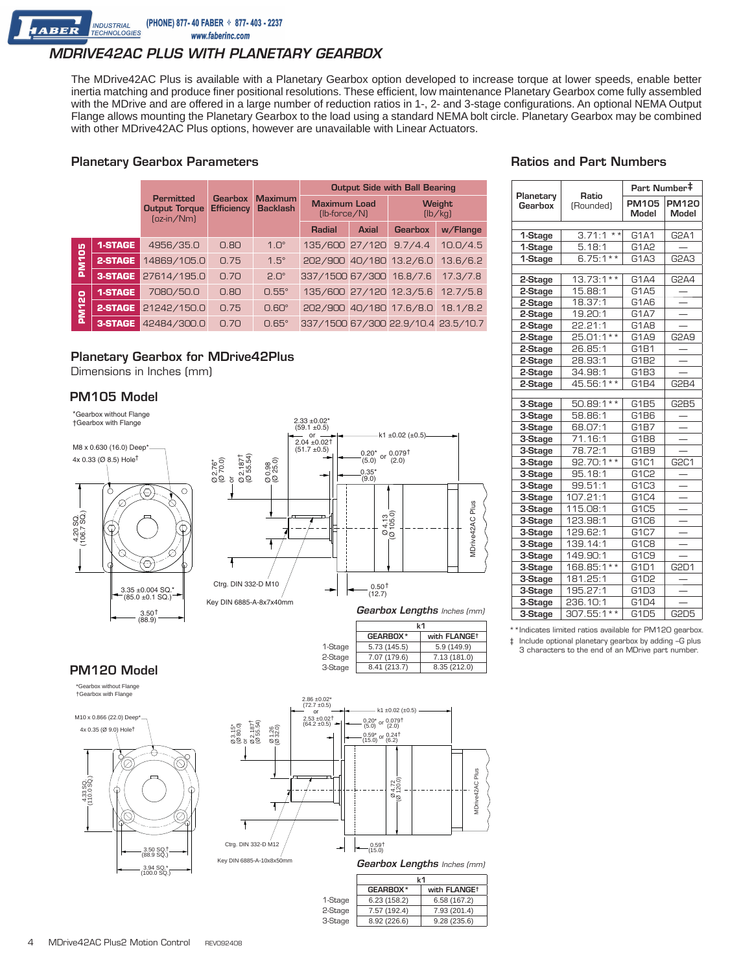(PHONE) 877-40 FABER  $\div$  877-403 - 2237 www.faberinc.com

# *MDRIVE42AC PLUS WITH PLANETARY GEARBOX*

The MDrive42AC Plus is available with a Planetary Gearbox option developed to increase torque at lower speeds, enable better inertia matching and produce finer positional resolutions. These efficient, low maintenance Planetary Gearbox come fully assembled with the MDrive and are offered in a large number of reduction ratios in 1-, 2- and 3-stage configurations. An optional NEMA Output Flange allows mounting the Planetary Gearbox to the load using a standard NEMA bolt circle. Planetary Gearbox may be combined with other MDrive42AC Plus options, however are unavailable with Linear Actuators.

### **Planetary Gearbox Parameters**

|              |                |                                                          |                                     |                                   | <b>Output Side with Ball Bearing</b>      |       |                          |                                     |
|--------------|----------------|----------------------------------------------------------|-------------------------------------|-----------------------------------|-------------------------------------------|-------|--------------------------|-------------------------------------|
|              |                | <b>Permitted</b><br><b>Output Torque</b><br>$[oz-in/Nm]$ | <b>Gearbox</b><br><b>Efficiency</b> | <b>Maximum</b><br><b>Backlash</b> | <b>Maximum Load</b><br>$[lb$ -force $/N]$ |       | <b>Weight</b><br>(lb/kg) |                                     |
|              |                |                                                          |                                     |                                   | Radial                                    | Axial | <b>Gearbox</b>           | w/Flange                            |
|              | <b>1-STAGE</b> | 4956/35.0                                                | 0.80                                | $1.0^\circ$                       | 135/600 27/120 9.7/4.4                    |       |                          | 10.0/4.5                            |
| <b>PM105</b> | 2-STAGE        | 14869/105.0                                              | 0.75                                | $1.5^\circ$                       |                                           |       | 202/900 40/180 13.2/6.0  | 13.6/6.2                            |
|              | <b>3-STAGE</b> | 27614/195.0                                              | 0.70                                | $2.0^\circ$                       | 337/1500 67/300 16.8/7.6                  |       |                          | 17.3/7.8                            |
|              | 1-STAGE        | 7080/50.0                                                | 0.80                                | $0.55^\circ$                      |                                           |       | 135/600 27/120 12.3/5.6  | 12.7/5.8                            |
| <b>PM120</b> | 2-STAGE        | 21242/150.0                                              | 0.75                                | $0.60^\circ$                      |                                           |       | 202/900 40/180 17.6/8.0  | 18.1/8.2                            |
|              | <b>3-STAGE</b> | 42484/300.0                                              | 0.70                                | $0.65^\circ$                      |                                           |       |                          | 337/1500 67/300 22.9/10.4 23.5/10.7 |

### **Planetary Gearbox for MDrive42Plus**

Dimensions in Inches (mm)

### **PM105 Model**

**INDUSTRIAL**<br>TECHNOLOGIES

**IABER** 



### **Ratios and Part Numbers**

|                      |                    | Part Number <sup>‡</sup> |                |  |
|----------------------|--------------------|--------------------------|----------------|--|
| Planetary<br>Gearbox | Ratio<br>(Rounded) | PM105<br>Model           | PM120<br>Model |  |
|                      | $* *$              | G1A1                     |                |  |
| 1-Stage              | 3.71:1             |                          | G2A1           |  |
| 1-Stage              | 5.18:1             | G1A2                     |                |  |
| 1-Stage              | $6.75:1***$        | G1A3                     | G2A3           |  |
| 2-Stage              | $13.73:1**$        | G1A4                     | G2A4           |  |
| 2-Stage              | 15.88:1            | G1A5                     |                |  |
| 2-Stage              | 18.37:1            | G1A6                     |                |  |
| 2-Stage              | 19.20:1            | G1A7                     |                |  |
| 2-Stage              | 22.21:1            | G1A8                     |                |  |
| 2-Stage              | 25.01:1 **         | G1A9                     | G2A9           |  |
| 2-Stage              | 26.85:1            | G1B1                     |                |  |
| 2-Stage              | 28.93:1            | G1B2                     |                |  |
| 2-Stage              | 34.98:1            | G1B3                     |                |  |
| 2-Stage              | 45.56:1 **         | G1B4                     | G2B4           |  |
|                      |                    |                          |                |  |
| 3-Stage              | 50.89:1 **         | G1B5                     | G2B5           |  |
| 3-Stage              | 58.86:1            | G1B6                     |                |  |
| 3-Stage              | 68.07:1            | G1B7                     |                |  |
| 3-Stage              | 71.16:1            | G1B8                     |                |  |
| 3-Stage              | 78.72:1            | G1B9                     |                |  |
| 3-Stage              | 92.70:1 **         | G1C1                     | G2C1           |  |
| 3-Stage              | 95.18:1            | G1C2                     |                |  |
| 3-Stage              | 99.51:1            | G1C3                     |                |  |
| 3-Stage              | 107.21:1           | G1C4                     |                |  |
| 3-Stage              | 115.08:1           | G1C5                     |                |  |
| 3-Stage              | 123.98:1           | G1C6                     |                |  |
| 3-Stage              | 129.62:1           | G1C7                     |                |  |
| 3-Stage              | 139.14:1           | G1C8                     |                |  |
| 3-Stage              | 149.90:1           | G1C9                     |                |  |
| 3-Stage              | $168.85:1***$      | G1D1                     | G2D1           |  |
| 3-Stage              | 181.25:1           | G1D2                     |                |  |
| 3-Stage              | 195.27:1           | G1D3                     |                |  |
| 3-Stage              | 236.10:1           | G1D4                     |                |  |
| 3-Stage              | $307.55:1**$       | G1D5                     | G2D5           |  |

\*\*Indicates limited ratios available for PM120 gearbox. ‡ Include optional planetary gearbox by adding –G plus 3 characters to the end of an MDrive part number.





|         | кı           |                          |  |  |
|---------|--------------|--------------------------|--|--|
|         | GEARBOX*     | with FLANGE <sup>+</sup> |  |  |
| 1-Stage | 6.23(158.2)  | 6.58(167.2)              |  |  |
| 2-Stage | 7.57 (192.4) | 7.93 (201.4)             |  |  |
| 3-Stage | 8.92 (226.6) | 9.28(235.6)              |  |  |